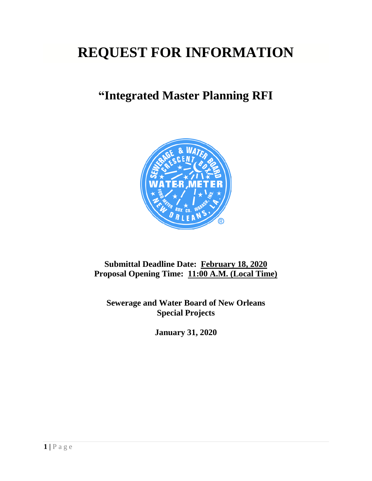# **REQUEST FOR INFORMATION**

## **"Integrated Master Planning RFI**



### **Submittal Deadline Date: February 18, 2020 Proposal Opening Time: 11:00 A.M. (Local Time)**

**Sewerage and Water Board of New Orleans Special Projects**

**January 31, 2020**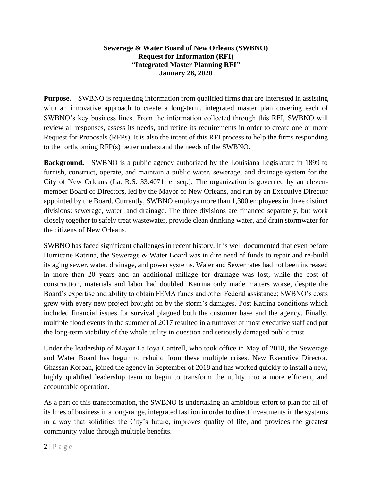#### **Sewerage & Water Board of New Orleans (SWBNO) Request for Information (RFI) "Integrated Master Planning RFI" January 28, 2020**

**Purpose.** SWBNO is requesting information from qualified firms that are interested in assisting with an innovative approach to create a long-term, integrated master plan covering each of SWBNO's key business lines. From the information collected through this RFI, SWBNO will review all responses, assess its needs, and refine its requirements in order to create one or more Request for Proposals (RFPs). It is also the intent of this RFI process to help the firms responding to the forthcoming RFP(s) better understand the needs of the SWBNO.

**Background.** SWBNO is a public agency authorized by the Louisiana Legislature in 1899 to furnish, construct, operate, and maintain a public water, sewerage, and drainage system for the City of New Orleans (La. R.S. 33:4071, et seq.). The organization is governed by an elevenmember Board of Directors, led by the Mayor of New Orleans, and run by an Executive Director appointed by the Board. Currently, SWBNO employs more than 1,300 employees in three distinct divisions: sewerage, water, and drainage. The three divisions are financed separately, but work closely together to safely treat wastewater, provide clean drinking water, and drain stormwater for the citizens of New Orleans.

SWBNO has faced significant challenges in recent history. It is well documented that even before Hurricane Katrina, the Sewerage & Water Board was in dire need of funds to repair and re-build its aging sewer, water, drainage, and power systems. Water and Sewer rates had not been increased in more than 20 years and an additional millage for drainage was lost, while the cost of construction, materials and labor had doubled. Katrina only made matters worse, despite the Board's expertise and ability to obtain FEMA funds and other Federal assistance; SWBNO's costs grew with every new project brought on by the storm's damages. Post Katrina conditions which included financial issues for survival plagued both the customer base and the agency. Finally, multiple flood events in the summer of 2017 resulted in a turnover of most executive staff and put the long-term viability of the whole utility in question and seriously damaged public trust.

Under the leadership of Mayor LaToya Cantrell, who took office in May of 2018, the Sewerage and Water Board has begun to rebuild from these multiple crises. New Executive Director, Ghassan Korban, joined the agency in September of 2018 and has worked quickly to install a new, highly qualified leadership team to begin to transform the utility into a more efficient, and accountable operation.

As a part of this transformation, the SWBNO is undertaking an ambitious effort to plan for all of its lines of business in a long-range, integrated fashion in order to direct investments in the systems in a way that solidifies the City's future, improves quality of life, and provides the greatest community value through multiple benefits.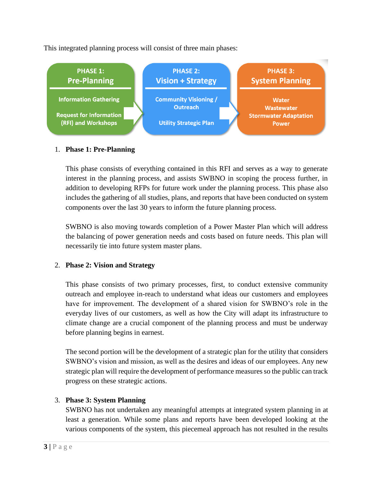This integrated planning process will consist of three main phases:



#### 1. **Phase 1: Pre-Planning**

This phase consists of everything contained in this RFI and serves as a way to generate interest in the planning process, and assists SWBNO in scoping the process further, in addition to developing RFPs for future work under the planning process. This phase also includes the gathering of all studies, plans, and reports that have been conducted on system components over the last 30 years to inform the future planning process.

SWBNO is also moving towards completion of a Power Master Plan which will address the balancing of power generation needs and costs based on future needs. This plan will necessarily tie into future system master plans.

#### 2. **Phase 2: Vision and Strategy**

This phase consists of two primary processes, first, to conduct extensive community outreach and employee in-reach to understand what ideas our customers and employees have for improvement. The development of a shared vision for SWBNO's role in the everyday lives of our customers, as well as how the City will adapt its infrastructure to climate change are a crucial component of the planning process and must be underway before planning begins in earnest.

The second portion will be the development of a strategic plan for the utility that considers SWBNO's vision and mission, as well as the desires and ideas of our employees. Any new strategic plan will require the development of performance measures so the public can track progress on these strategic actions.

#### 3. **Phase 3: System Planning**

SWBNO has not undertaken any meaningful attempts at integrated system planning in at least a generation. While some plans and reports have been developed looking at the various components of the system, this piecemeal approach has not resulted in the results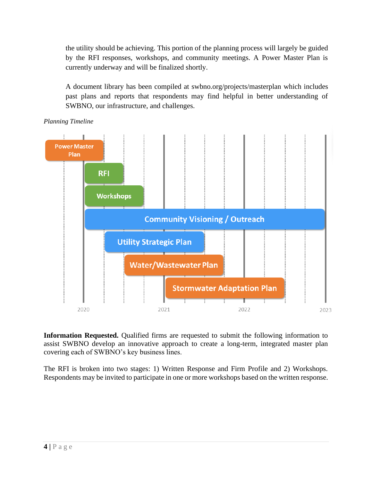the utility should be achieving. This portion of the planning process will largely be guided by the RFI responses, workshops, and community meetings. A Power Master Plan is currently underway and will be finalized shortly.

A document library has been compiled at swbno.org/projects/masterplan which includes past plans and reports that respondents may find helpful in better understanding of SWBNO, our infrastructure, and challenges.





**Information Requested.** Qualified firms are requested to submit the following information to assist SWBNO develop an innovative approach to create a long-term, integrated master plan covering each of SWBNO's key business lines.

The RFI is broken into two stages: 1) Written Response and Firm Profile and 2) Workshops. Respondents may be invited to participate in one or more workshops based on the written response.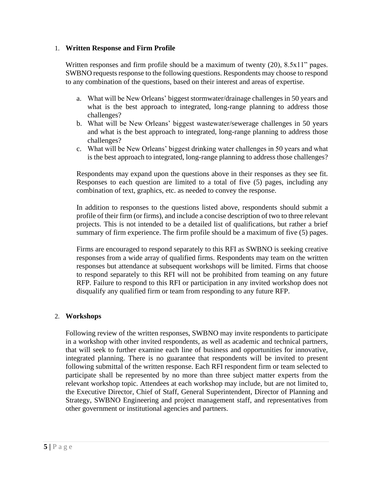#### 1. **Written Response and Firm Profile**

Written responses and firm profile should be a maximum of twenty (20), 8.5x11" pages. SWBNO requests response to the following questions. Respondents may choose to respond to any combination of the questions, based on their interest and areas of expertise.

- a. What will be New Orleans' biggest stormwater/drainage challenges in 50 years and what is the best approach to integrated, long-range planning to address those challenges?
- b. What will be New Orleans' biggest wastewater/sewerage challenges in 50 years and what is the best approach to integrated, long-range planning to address those challenges?
- c. What will be New Orleans' biggest drinking water challenges in 50 years and what is the best approach to integrated, long-range planning to address those challenges?

Respondents may expand upon the questions above in their responses as they see fit. Responses to each question are limited to a total of five (5) pages, including any combination of text, graphics, etc. as needed to convey the response.

In addition to responses to the questions listed above, respondents should submit a profile of their firm (or firms), and include a concise description of two to three relevant projects. This is not intended to be a detailed list of qualifications, but rather a brief summary of firm experience. The firm profile should be a maximum of five (5) pages.

Firms are encouraged to respond separately to this RFI as SWBNO is seeking creative responses from a wide array of qualified firms. Respondents may team on the written responses but attendance at subsequent workshops will be limited. Firms that choose to respond separately to this RFI will not be prohibited from teaming on any future RFP. Failure to respond to this RFI or participation in any invited workshop does not disqualify any qualified firm or team from responding to any future RFP.

#### 2. **Workshops**

Following review of the written responses, SWBNO may invite respondents to participate in a workshop with other invited respondents, as well as academic and technical partners, that will seek to further examine each line of business and opportunities for innovative, integrated planning. There is no guarantee that respondents will be invited to present following submittal of the written response. Each RFI respondent firm or team selected to participate shall be represented by no more than three subject matter experts from the relevant workshop topic. Attendees at each workshop may include, but are not limited to, the Executive Director, Chief of Staff, General Superintendent, Director of Planning and Strategy, SWBNO Engineering and project management staff, and representatives from other government or institutional agencies and partners.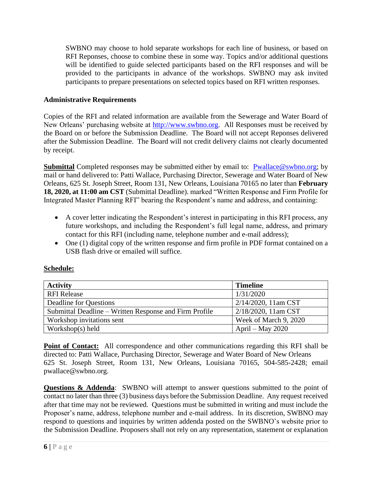SWBNO may choose to hold separate workshops for each line of business, or based on RFI Reponses, choose to combine these in some way. Topics and/or additional questions will be identified to guide selected participants based on the RFI responses and will be provided to the participants in advance of the workshops. SWBNO may ask invited participants to prepare presentations on selected topics based on RFI written responses.

#### **Administrative Requirements**

Copies of the RFI and related information are available from the Sewerage and Water Board of New Orleans' purchasing website at [http://www.swbno.org.](http://www.swbno.org/) All Responses must be received by the Board on or before the Submission Deadline. The Board will not accept Reponses delivered after the Submission Deadline. The Board will not credit delivery claims not clearly documented by receipt.

**Submittal** Completed responses may be submitted either by email to: [Pwallace@swbno.org;](mailto:Pwallace@swbno.org) by mail or hand delivered to: Patti Wallace, Purchasing Director, Sewerage and Water Board of New Orleans, 625 St. Joseph Street, Room 131, New Orleans, Louisiana 70165 no later than **February 18, 2020, at 11:00 am CST** (Submittal Deadline). marked "Written Response and Firm Profile for Integrated Master Planning RFI" bearing the Respondent's name and address, and containing:

- A cover letter indicating the Respondent's interest in participating in this RFI process, any future workshops, and including the Respondent's full legal name, address, and primary contact for this RFI (including name, telephone number and e-mail address);
- One (1) digital copy of the written response and firm profile in PDF format contained on a USB flash drive or emailed will suffice.

| Schedule: |  |  |
|-----------|--|--|
|           |  |  |

**Schedule:**

| <b>Activity</b>                                        | <b>Timeline</b>       |  |
|--------------------------------------------------------|-----------------------|--|
| <b>RFI Release</b>                                     | 1/31/2020             |  |
| Deadline for Questions                                 | 2/14/2020, 11am CST   |  |
| Submittal Deadline – Written Response and Firm Profile | 2/18/2020, 11am CST   |  |
| Workshop invitations sent                              | Week of March 9, 2020 |  |
| Workshop $(s)$ held                                    | April – May $2020$    |  |

**Point of Contact:** All correspondence and other communications regarding this RFI shall be directed to: Patti Wallace, Purchasing Director, Sewerage and Water Board of New Orleans 625 St. Joseph Street, Room 131, New Orleans, Louisiana 70165, 504-585-2428; email pwallace@swbno.org.

**Questions & Addenda:** SWBNO will attempt to answer questions submitted to the point of contact no later than three (3) business days before the Submission Deadline. Any request received after that time may not be reviewed. Questions must be submitted in writing and must include the Proposer's name, address, telephone number and e-mail address. In its discretion, SWBNO may respond to questions and inquiries by written addenda posted on the SWBNO's website prior to the Submission Deadline. Proposers shall not rely on any representation, statement or explanation